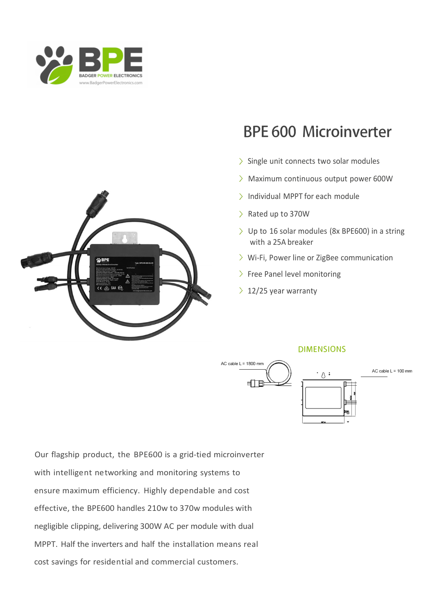



- ) Single unit connects two solar modules
- ) Maximum continuous output power 600W
- ) Individual MPPT for each module
- ) Rated up to 370W
- ) Up to 16 solar modules (8x BPE600) in a string with a 25A breaker
- > Wi-Fi, Power line or ZigBee communication
- > Free Panel level monitoring
- $\geq 12/25$  year warranty



Our flagship product, the BPE600 is a grid-tied microinverter with intelligent networking and monitoring systems to ensure maximum efficiency. Highly dependable and cost effective, the BPE600 handles 210w to 370w modules with negligible clipping, delivering 300W AC per module with dual MPPT. Half the inverters and half the installation means real cost savings for residential and commercial customers.